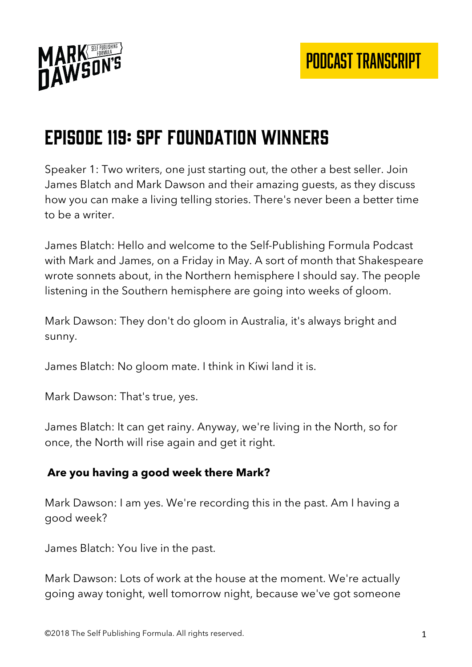

# Episode 119: SPF Foundation Winners

Speaker 1: Two writers, one just starting out, the other a best seller. Join James Blatch and Mark Dawson and their amazing guests, as they discuss how you can make a living telling stories. There's never been a better time to be a writer.

James Blatch: Hello and welcome to the Self-Publishing Formula Podcast with Mark and James, on a Friday in May. A sort of month that Shakespeare wrote sonnets about, in the Northern hemisphere I should say. The people listening in the Southern hemisphere are going into weeks of gloom.

Mark Dawson: They don't do gloom in Australia, it's always bright and sunny.

James Blatch: No gloom mate. I think in Kiwi land it is.

Mark Dawson: That's true, yes.

James Blatch: It can get rainy. Anyway, we're living in the North, so for once, the North will rise again and get it right.

#### **Are you having a good week there Mark?**

Mark Dawson: I am yes. We're recording this in the past. Am I having a good week?

James Blatch: You live in the past.

Mark Dawson: Lots of work at the house at the moment. We're actually going away tonight, well tomorrow night, because we've got someone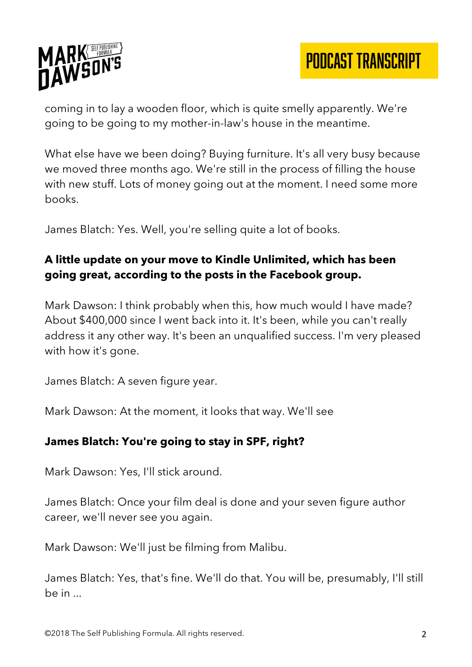

coming in to lay a wooden floor, which is quite smelly apparently. We're going to be going to my mother-in-law's house in the meantime.

What else have we been doing? Buying furniture. It's all very busy because we moved three months ago. We're still in the process of filling the house with new stuff. Lots of money going out at the moment. I need some more books.

James Blatch: Yes. Well, you're selling quite a lot of books.

# **A little update on your move to Kindle Unlimited, which has been going great, according to the posts in the Facebook group.**

Mark Dawson: I think probably when this, how much would I have made? About \$400,000 since I went back into it. It's been, while you can't really address it any other way. It's been an unqualified success. I'm very pleased with how it's gone.

James Blatch: A seven figure year.

Mark Dawson: At the moment, it looks that way. We'll see

#### **James Blatch: You're going to stay in SPF, right?**

Mark Dawson: Yes, I'll stick around.

James Blatch: Once your film deal is done and your seven figure author career, we'll never see you again.

Mark Dawson: We'll just be filming from Malibu.

James Blatch: Yes, that's fine. We'll do that. You will be, presumably, I'll still be in ...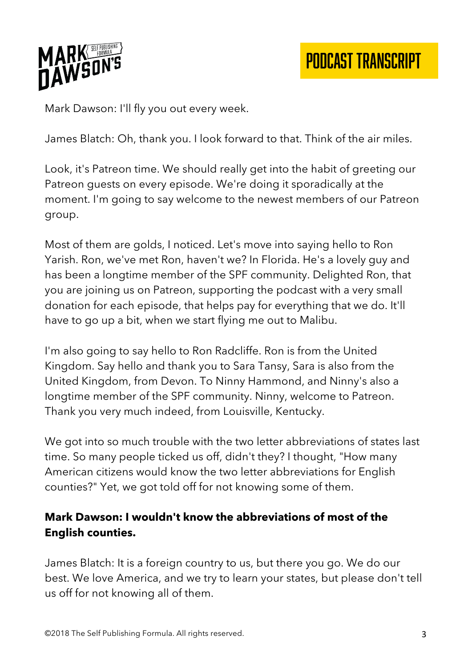

Mark Dawson: I'll fly you out every week.

James Blatch: Oh, thank you. I look forward to that. Think of the air miles.

Look, it's Patreon time. We should really get into the habit of greeting our Patreon guests on every episode. We're doing it sporadically at the moment. I'm going to say welcome to the newest members of our Patreon group.

Most of them are golds, I noticed. Let's move into saying hello to Ron Yarish. Ron, we've met Ron, haven't we? In Florida. He's a lovely guy and has been a longtime member of the SPF community. Delighted Ron, that you are joining us on Patreon, supporting the podcast with a very small donation for each episode, that helps pay for everything that we do. It'll have to go up a bit, when we start flying me out to Malibu.

I'm also going to say hello to Ron Radcliffe. Ron is from the United Kingdom. Say hello and thank you to Sara Tansy, Sara is also from the United Kingdom, from Devon. To Ninny Hammond, and Ninny's also a longtime member of the SPF community. Ninny, welcome to Patreon. Thank you very much indeed, from Louisville, Kentucky.

We got into so much trouble with the two letter abbreviations of states last time. So many people ticked us off, didn't they? I thought, "How many American citizens would know the two letter abbreviations for English counties?" Yet, we got told off for not knowing some of them.

# **Mark Dawson: I wouldn't know the abbreviations of most of the English counties.**

James Blatch: It is a foreign country to us, but there you go. We do our best. We love America, and we try to learn your states, but please don't tell us off for not knowing all of them.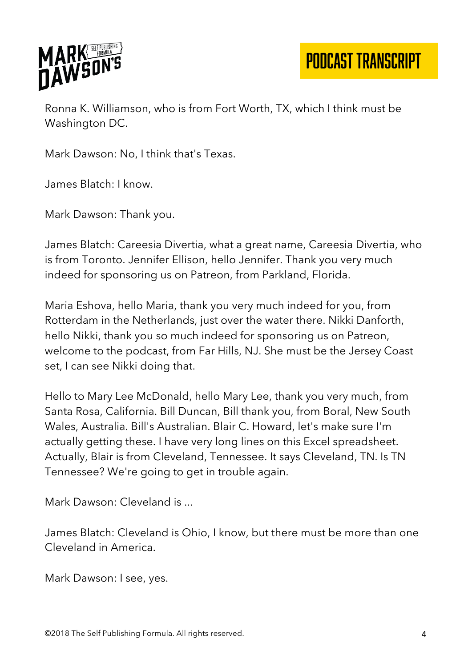

PODCAST TRANSCRIPT

Ronna K. Williamson, who is from Fort Worth, TX, which I think must be Washington DC.

Mark Dawson: No, I think that's Texas.

James Blatch: I know.

Mark Dawson: Thank you.

James Blatch: Careesia Divertia, what a great name, Careesia Divertia, who is from Toronto. Jennifer Ellison, hello Jennifer. Thank you very much indeed for sponsoring us on Patreon, from Parkland, Florida.

Maria Eshova, hello Maria, thank you very much indeed for you, from Rotterdam in the Netherlands, just over the water there. Nikki Danforth, hello Nikki, thank you so much indeed for sponsoring us on Patreon, welcome to the podcast, from Far Hills, NJ. She must be the Jersey Coast set, I can see Nikki doing that.

Hello to Mary Lee McDonald, hello Mary Lee, thank you very much, from Santa Rosa, California. Bill Duncan, Bill thank you, from Boral, New South Wales, Australia. Bill's Australian. Blair C. Howard, let's make sure I'm actually getting these. I have very long lines on this Excel spreadsheet. Actually, Blair is from Cleveland, Tennessee. It says Cleveland, TN. Is TN Tennessee? We're going to get in trouble again.

Mark Dawson: Cleveland is ...

James Blatch: Cleveland is Ohio, I know, but there must be more than one Cleveland in America.

Mark Dawson: I see, yes.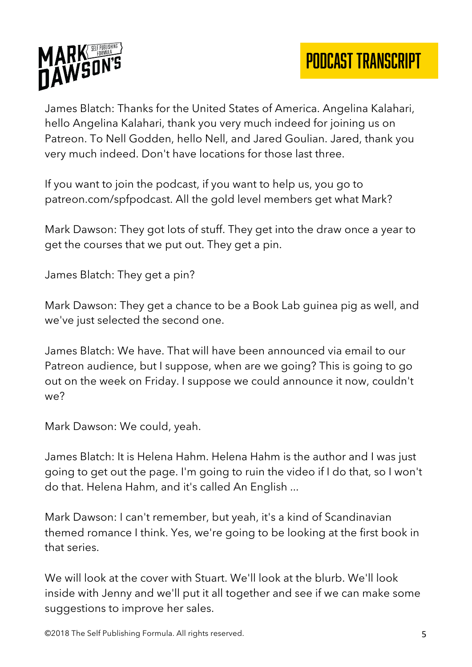

James Blatch: Thanks for the United States of America. Angelina Kalahari, hello Angelina Kalahari, thank you very much indeed for joining us on Patreon. To Nell Godden, hello Nell, and Jared Goulian. Jared, thank you very much indeed. Don't have locations for those last three.

If you want to join the podcast, if you want to help us, you go to patreon.com/spfpodcast. All the gold level members get what Mark?

Mark Dawson: They got lots of stuff. They get into the draw once a year to get the courses that we put out. They get a pin.

James Blatch: They get a pin?

Mark Dawson: They get a chance to be a Book Lab guinea pig as well, and we've just selected the second one.

James Blatch: We have. That will have been announced via email to our Patreon audience, but I suppose, when are we going? This is going to go out on the week on Friday. I suppose we could announce it now, couldn't we?

Mark Dawson: We could, yeah.

James Blatch: It is Helena Hahm. Helena Hahm is the author and I was just going to get out the page. I'm going to ruin the video if I do that, so I won't do that. Helena Hahm, and it's called An English ...

Mark Dawson: I can't remember, but yeah, it's a kind of Scandinavian themed romance I think. Yes, we're going to be looking at the first book in that series.

We will look at the cover with Stuart. We'll look at the blurb. We'll look inside with Jenny and we'll put it all together and see if we can make some suggestions to improve her sales.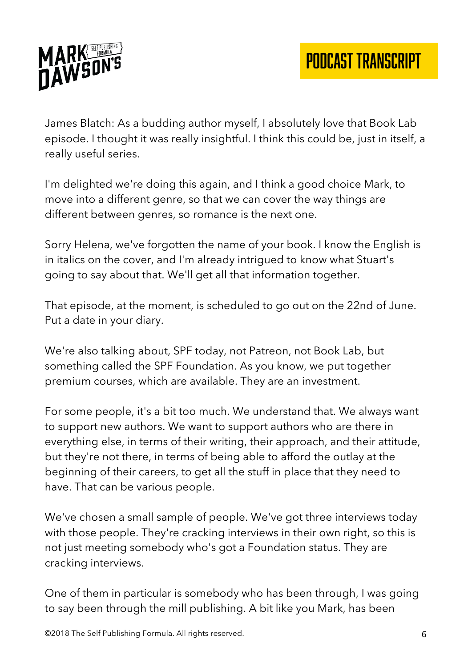

James Blatch: As a budding author myself, I absolutely love that Book Lab episode. I thought it was really insightful. I think this could be, just in itself, a really useful series.

I'm delighted we're doing this again, and I think a good choice Mark, to move into a different genre, so that we can cover the way things are different between genres, so romance is the next one.

Sorry Helena, we've forgotten the name of your book. I know the English is in italics on the cover, and I'm already intrigued to know what Stuart's going to say about that. We'll get all that information together.

That episode, at the moment, is scheduled to go out on the 22nd of June. Put a date in your diary.

We're also talking about, SPF today, not Patreon, not Book Lab, but something called the SPF Foundation. As you know, we put together premium courses, which are available. They are an investment.

For some people, it's a bit too much. We understand that. We always want to support new authors. We want to support authors who are there in everything else, in terms of their writing, their approach, and their attitude, but they're not there, in terms of being able to afford the outlay at the beginning of their careers, to get all the stuff in place that they need to have. That can be various people.

We've chosen a small sample of people. We've got three interviews today with those people. They're cracking interviews in their own right, so this is not just meeting somebody who's got a Foundation status. They are cracking interviews.

One of them in particular is somebody who has been through, I was going to say been through the mill publishing. A bit like you Mark, has been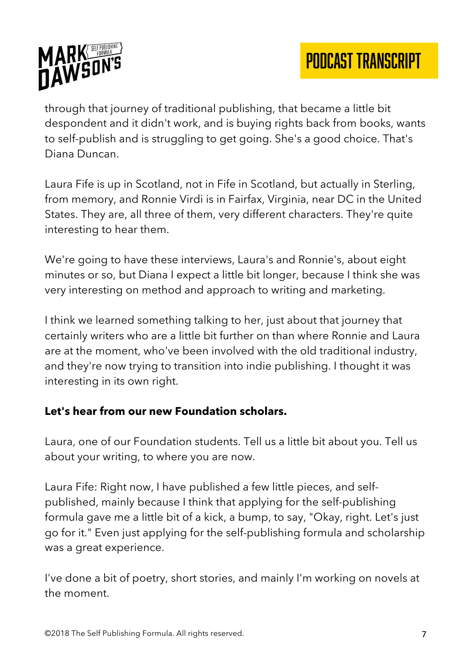

through that journey of traditional publishing, that became a little bit despondent and it didn't work, and is buying rights back from books, wants to self-publish and is struggling to get going. She's a good choice. That's Diana Duncan.

Laura Fife is up in Scotland, not in Fife in Scotland, but actually in Sterling, from memory, and Ronnie Virdi is in Fairfax, Virginia, near DC in the United States. They are, all three of them, very different characters. They're quite interesting to hear them.

We're going to have these interviews, Laura's and Ronnie's, about eight minutes or so, but Diana I expect a little bit longer, because I think she was very interesting on method and approach to writing and marketing.

I think we learned something talking to her, just about that journey that certainly writers who are a little bit further on than where Ronnie and Laura are at the moment, who've been involved with the old traditional industry, and they're now trying to transition into indie publishing. I thought it was interesting in its own right.

#### **Let's hear from our new Foundation scholars.**

Laura, one of our Foundation students. Tell us a little bit about you. Tell us about your writing, to where you are now.

Laura Fife: Right now, I have published a few little pieces, and selfpublished, mainly because I think that applying for the self-publishing formula gave me a little bit of a kick, a bump, to say, "Okay, right. Let's just go for it." Even just applying for the self-publishing formula and scholarship was a great experience.

I've done a bit of poetry, short stories, and mainly I'm working on novels at the moment.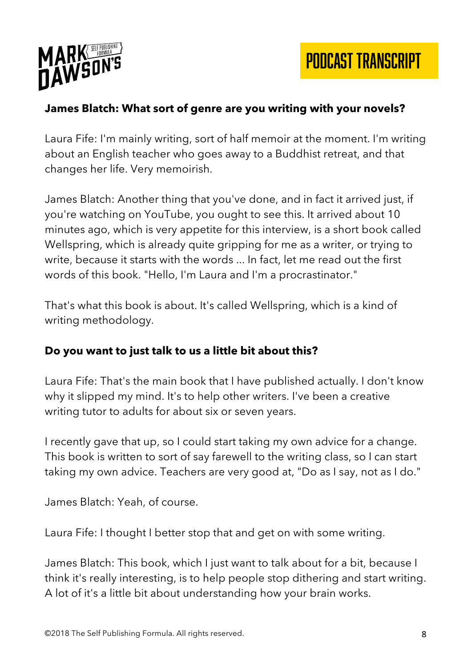

PODCAST TRANSCRIPT

#### **James Blatch: What sort of genre are you writing with your novels?**

Laura Fife: I'm mainly writing, sort of half memoir at the moment. I'm writing about an English teacher who goes away to a Buddhist retreat, and that changes her life. Very memoirish.

James Blatch: Another thing that you've done, and in fact it arrived just, if you're watching on YouTube, you ought to see this. It arrived about 10 minutes ago, which is very appetite for this interview, is a short book called Wellspring, which is already quite gripping for me as a writer, or trying to write, because it starts with the words ... In fact, let me read out the first words of this book. "Hello, I'm Laura and I'm a procrastinator."

That's what this book is about. It's called Wellspring, which is a kind of writing methodology.

#### **Do you want to just talk to us a little bit about this?**

Laura Fife: That's the main book that I have published actually. I don't know why it slipped my mind. It's to help other writers. I've been a creative writing tutor to adults for about six or seven years.

I recently gave that up, so I could start taking my own advice for a change. This book is written to sort of say farewell to the writing class, so I can start taking my own advice. Teachers are very good at, "Do as I say, not as I do."

James Blatch: Yeah, of course.

Laura Fife: I thought I better stop that and get on with some writing.

James Blatch: This book, which I just want to talk about for a bit, because I think it's really interesting, is to help people stop dithering and start writing. A lot of it's a little bit about understanding how your brain works.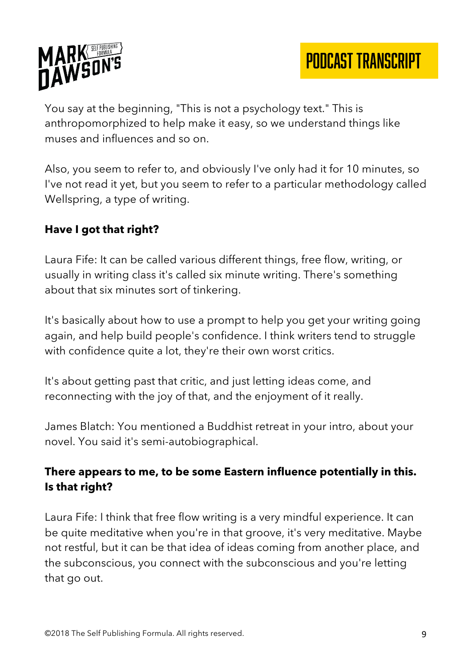

You say at the beginning, "This is not a psychology text." This is anthropomorphized to help make it easy, so we understand things like muses and influences and so on.

Also, you seem to refer to, and obviously I've only had it for 10 minutes, so I've not read it yet, but you seem to refer to a particular methodology called Wellspring, a type of writing.

# **Have I got that right?**

Laura Fife: It can be called various different things, free flow, writing, or usually in writing class it's called six minute writing. There's something about that six minutes sort of tinkering.

It's basically about how to use a prompt to help you get your writing going again, and help build people's confidence. I think writers tend to struggle with confidence quite a lot, they're their own worst critics.

It's about getting past that critic, and just letting ideas come, and reconnecting with the joy of that, and the enjoyment of it really.

James Blatch: You mentioned a Buddhist retreat in your intro, about your novel. You said it's semi-autobiographical.

# **There appears to me, to be some Eastern influence potentially in this. Is that right?**

Laura Fife: I think that free flow writing is a very mindful experience. It can be quite meditative when you're in that groove, it's very meditative. Maybe not restful, but it can be that idea of ideas coming from another place, and the subconscious, you connect with the subconscious and you're letting that go out.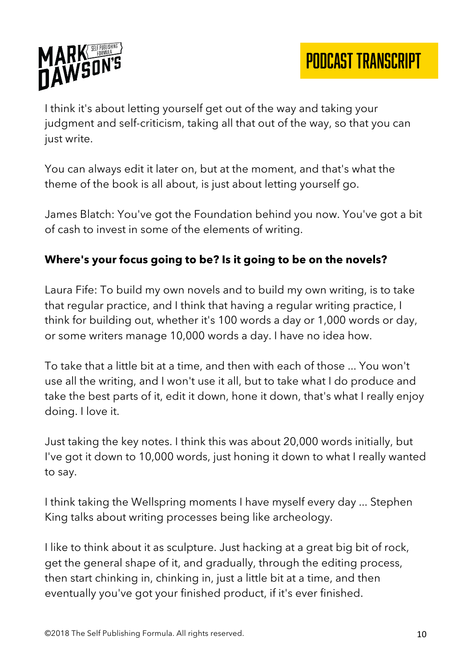

I think it's about letting yourself get out of the way and taking your judgment and self-criticism, taking all that out of the way, so that you can just write.

You can always edit it later on, but at the moment, and that's what the theme of the book is all about, is just about letting yourself go.

James Blatch: You've got the Foundation behind you now. You've got a bit of cash to invest in some of the elements of writing.

# **Where's your focus going to be? Is it going to be on the novels?**

Laura Fife: To build my own novels and to build my own writing, is to take that regular practice, and I think that having a regular writing practice, I think for building out, whether it's 100 words a day or 1,000 words or day, or some writers manage 10,000 words a day. I have no idea how.

To take that a little bit at a time, and then with each of those ... You won't use all the writing, and I won't use it all, but to take what I do produce and take the best parts of it, edit it down, hone it down, that's what I really enjoy doing. I love it.

Just taking the key notes. I think this was about 20,000 words initially, but I've got it down to 10,000 words, just honing it down to what I really wanted to say.

I think taking the Wellspring moments I have myself every day ... Stephen King talks about writing processes being like archeology.

I like to think about it as sculpture. Just hacking at a great big bit of rock, get the general shape of it, and gradually, through the editing process, then start chinking in, chinking in, just a little bit at a time, and then eventually you've got your finished product, if it's ever finished.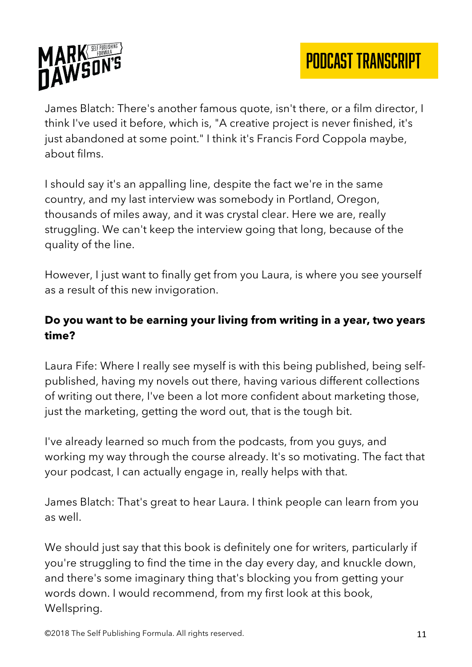

James Blatch: There's another famous quote, isn't there, or a film director, I think I've used it before, which is, "A creative project is never finished, it's just abandoned at some point." I think it's Francis Ford Coppola maybe, about films.

I should say it's an appalling line, despite the fact we're in the same country, and my last interview was somebody in Portland, Oregon, thousands of miles away, and it was crystal clear. Here we are, really struggling. We can't keep the interview going that long, because of the quality of the line.

However, I just want to finally get from you Laura, is where you see yourself as a result of this new invigoration.

## **Do you want to be earning your living from writing in a year, two years time?**

Laura Fife: Where I really see myself is with this being published, being selfpublished, having my novels out there, having various different collections of writing out there, I've been a lot more confident about marketing those, just the marketing, getting the word out, that is the tough bit.

I've already learned so much from the podcasts, from you guys, and working my way through the course already. It's so motivating. The fact that your podcast, I can actually engage in, really helps with that.

James Blatch: That's great to hear Laura. I think people can learn from you as well.

We should just say that this book is definitely one for writers, particularly if you're struggling to find the time in the day every day, and knuckle down, and there's some imaginary thing that's blocking you from getting your words down. I would recommend, from my first look at this book, Wellspring.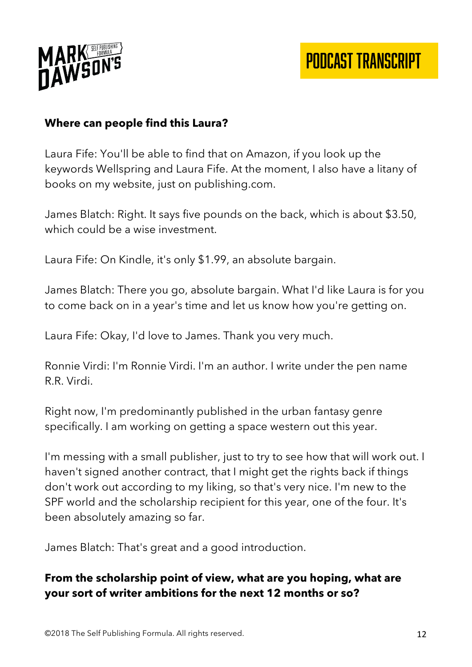

#### **Where can people find this Laura?**

Laura Fife: You'll be able to find that on Amazon, if you look up the keywords Wellspring and Laura Fife. At the moment, I also have a litany of books on my website, just on publishing.com.

James Blatch: Right. It says five pounds on the back, which is about \$3.50, which could be a wise investment.

Laura Fife: On Kindle, it's only \$1.99, an absolute bargain.

James Blatch: There you go, absolute bargain. What I'd like Laura is for you to come back on in a year's time and let us know how you're getting on.

Laura Fife: Okay, I'd love to James. Thank you very much.

Ronnie Virdi: I'm Ronnie Virdi. I'm an author. I write under the pen name R.R. Virdi.

Right now, I'm predominantly published in the urban fantasy genre specifically. I am working on getting a space western out this year.

I'm messing with a small publisher, just to try to see how that will work out. I haven't signed another contract, that I might get the rights back if things don't work out according to my liking, so that's very nice. I'm new to the SPF world and the scholarship recipient for this year, one of the four. It's been absolutely amazing so far.

James Blatch: That's great and a good introduction.

#### **From the scholarship point of view, what are you hoping, what are your sort of writer ambitions for the next 12 months or so?**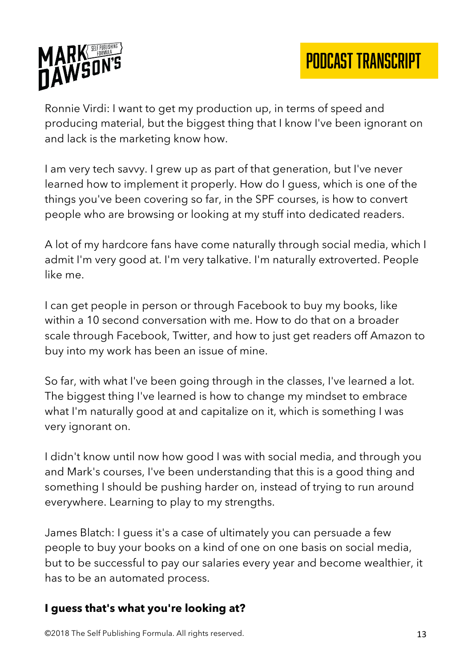



Ronnie Virdi: I want to get my production up, in terms of speed and producing material, but the biggest thing that I know I've been ignorant on and lack is the marketing know how.

I am very tech savvy. I grew up as part of that generation, but I've never learned how to implement it properly. How do I guess, which is one of the things you've been covering so far, in the SPF courses, is how to convert people who are browsing or looking at my stuff into dedicated readers.

A lot of my hardcore fans have come naturally through social media, which I admit I'm very good at. I'm very talkative. I'm naturally extroverted. People like me.

I can get people in person or through Facebook to buy my books, like within a 10 second conversation with me. How to do that on a broader scale through Facebook, Twitter, and how to just get readers off Amazon to buy into my work has been an issue of mine.

So far, with what I've been going through in the classes, I've learned a lot. The biggest thing I've learned is how to change my mindset to embrace what I'm naturally good at and capitalize on it, which is something I was very ignorant on.

I didn't know until now how good I was with social media, and through you and Mark's courses, I've been understanding that this is a good thing and something I should be pushing harder on, instead of trying to run around everywhere. Learning to play to my strengths.

James Blatch: I guess it's a case of ultimately you can persuade a few people to buy your books on a kind of one on one basis on social media, but to be successful to pay our salaries every year and become wealthier, it has to be an automated process.

#### **I guess that's what you're looking at?**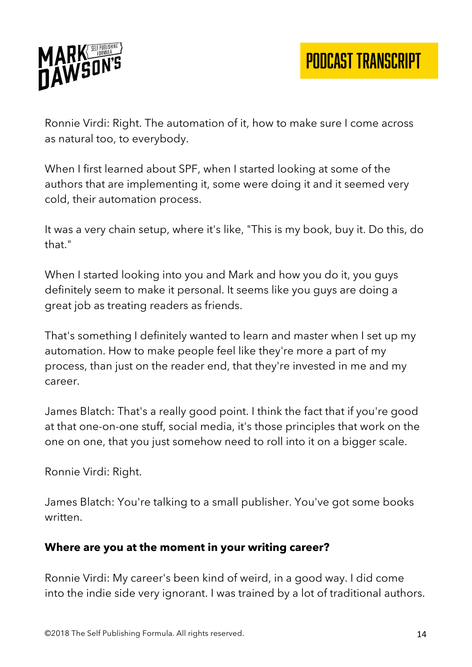

Ronnie Virdi: Right. The automation of it, how to make sure I come across as natural too, to everybody.

When I first learned about SPF, when I started looking at some of the authors that are implementing it, some were doing it and it seemed very cold, their automation process.

It was a very chain setup, where it's like, "This is my book, buy it. Do this, do that."

When I started looking into you and Mark and how you do it, you guys definitely seem to make it personal. It seems like you guys are doing a great job as treating readers as friends.

That's something I definitely wanted to learn and master when I set up my automation. How to make people feel like they're more a part of my process, than just on the reader end, that they're invested in me and my career.

James Blatch: That's a really good point. I think the fact that if you're good at that one-on-one stuff, social media, it's those principles that work on the one on one, that you just somehow need to roll into it on a bigger scale.

Ronnie Virdi: Right.

James Blatch: You're talking to a small publisher. You've got some books written.

#### **Where are you at the moment in your writing career?**

Ronnie Virdi: My career's been kind of weird, in a good way. I did come into the indie side very ignorant. I was trained by a lot of traditional authors.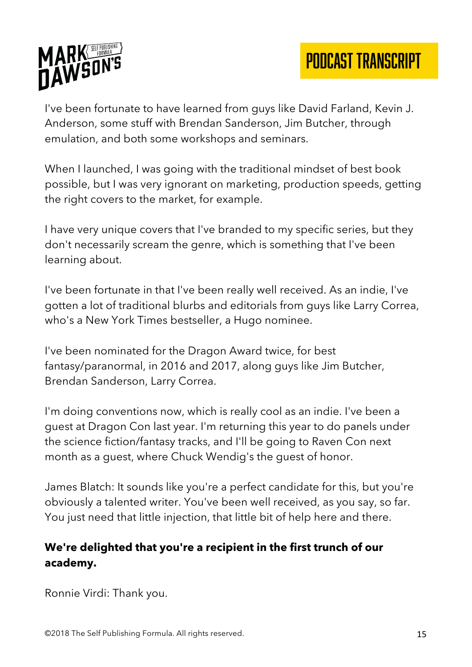

I've been fortunate to have learned from guys like David Farland, Kevin J. Anderson, some stuff with Brendan Sanderson, Jim Butcher, through emulation, and both some workshops and seminars.

When I launched, I was going with the traditional mindset of best book possible, but I was very ignorant on marketing, production speeds, getting the right covers to the market, for example.

I have very unique covers that I've branded to my specific series, but they don't necessarily scream the genre, which is something that I've been learning about.

I've been fortunate in that I've been really well received. As an indie, I've gotten a lot of traditional blurbs and editorials from guys like Larry Correa, who's a New York Times bestseller, a Hugo nominee.

I've been nominated for the Dragon Award twice, for best fantasy/paranormal, in 2016 and 2017, along guys like Jim Butcher, Brendan Sanderson, Larry Correa.

I'm doing conventions now, which is really cool as an indie. I've been a guest at Dragon Con last year. I'm returning this year to do panels under the science fiction/fantasy tracks, and I'll be going to Raven Con next month as a guest, where Chuck Wendig's the guest of honor.

James Blatch: It sounds like you're a perfect candidate for this, but you're obviously a talented writer. You've been well received, as you say, so far. You just need that little injection, that little bit of help here and there.

# **We're delighted that you're a recipient in the first trunch of our academy.**

Ronnie Virdi: Thank you.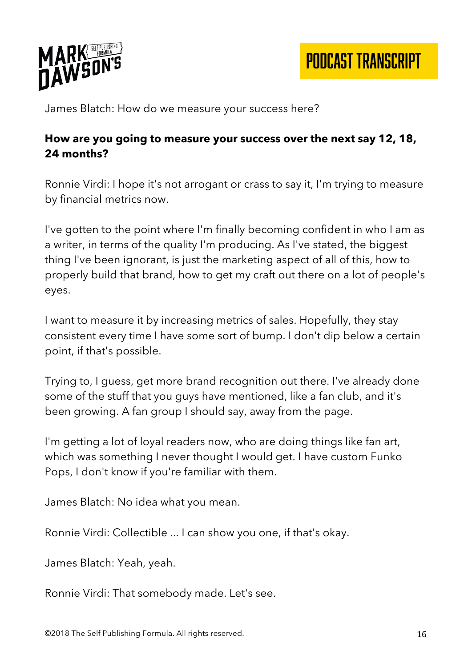

PODCAST TRANSCRIPT

James Blatch: How do we measure your success here?

#### **How are you going to measure your success over the next say 12, 18, 24 months?**

Ronnie Virdi: I hope it's not arrogant or crass to say it, I'm trying to measure by financial metrics now.

I've gotten to the point where I'm finally becoming confident in who I am as a writer, in terms of the quality I'm producing. As I've stated, the biggest thing I've been ignorant, is just the marketing aspect of all of this, how to properly build that brand, how to get my craft out there on a lot of people's eyes.

I want to measure it by increasing metrics of sales. Hopefully, they stay consistent every time I have some sort of bump. I don't dip below a certain point, if that's possible.

Trying to, I guess, get more brand recognition out there. I've already done some of the stuff that you guys have mentioned, like a fan club, and it's been growing. A fan group I should say, away from the page.

I'm getting a lot of loyal readers now, who are doing things like fan art, which was something I never thought I would get. I have custom Funko Pops, I don't know if you're familiar with them.

James Blatch: No idea what you mean.

Ronnie Virdi: Collectible ... I can show you one, if that's okay.

James Blatch: Yeah, yeah.

Ronnie Virdi: That somebody made. Let's see.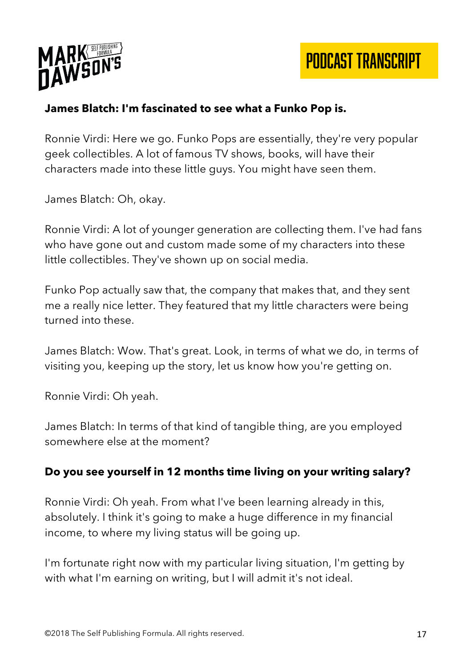

#### **James Blatch: I'm fascinated to see what a Funko Pop is.**

Ronnie Virdi: Here we go. Funko Pops are essentially, they're very popular geek collectibles. A lot of famous TV shows, books, will have their characters made into these little guys. You might have seen them.

James Blatch: Oh, okay.

Ronnie Virdi: A lot of younger generation are collecting them. I've had fans who have gone out and custom made some of my characters into these little collectibles. They've shown up on social media.

Funko Pop actually saw that, the company that makes that, and they sent me a really nice letter. They featured that my little characters were being turned into these.

James Blatch: Wow. That's great. Look, in terms of what we do, in terms of visiting you, keeping up the story, let us know how you're getting on.

Ronnie Virdi: Oh yeah.

James Blatch: In terms of that kind of tangible thing, are you employed somewhere else at the moment?

#### **Do you see yourself in 12 months time living on your writing salary?**

Ronnie Virdi: Oh yeah. From what I've been learning already in this, absolutely. I think it's going to make a huge difference in my financial income, to where my living status will be going up.

I'm fortunate right now with my particular living situation, I'm getting by with what I'm earning on writing, but I will admit it's not ideal.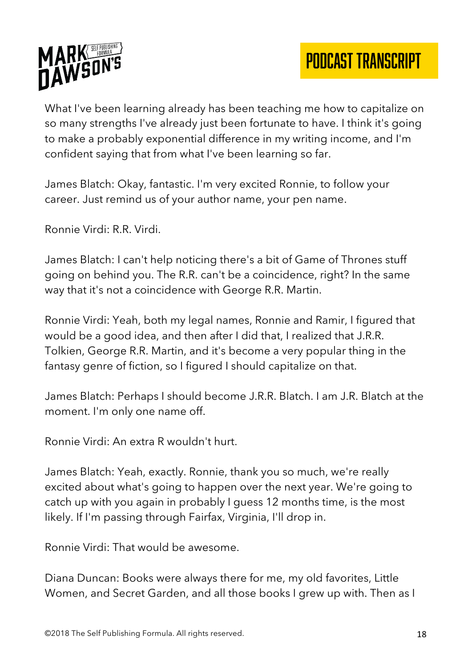

What I've been learning already has been teaching me how to capitalize on so many strengths I've already just been fortunate to have. I think it's going to make a probably exponential difference in my writing income, and I'm confident saying that from what I've been learning so far.

James Blatch: Okay, fantastic. I'm very excited Ronnie, to follow your career. Just remind us of your author name, your pen name.

Ronnie Virdi: R.R. Virdi.

James Blatch: I can't help noticing there's a bit of Game of Thrones stuff going on behind you. The R.R. can't be a coincidence, right? In the same way that it's not a coincidence with George R.R. Martin.

Ronnie Virdi: Yeah, both my legal names, Ronnie and Ramir, I figured that would be a good idea, and then after I did that, I realized that J.R.R. Tolkien, George R.R. Martin, and it's become a very popular thing in the fantasy genre of fiction, so I figured I should capitalize on that.

James Blatch: Perhaps I should become J.R.R. Blatch. I am J.R. Blatch at the moment. I'm only one name off.

Ronnie Virdi: An extra R wouldn't hurt.

James Blatch: Yeah, exactly. Ronnie, thank you so much, we're really excited about what's going to happen over the next year. We're going to catch up with you again in probably I guess 12 months time, is the most likely. If I'm passing through Fairfax, Virginia, I'll drop in.

Ronnie Virdi: That would be awesome.

Diana Duncan: Books were always there for me, my old favorites, Little Women, and Secret Garden, and all those books I grew up with. Then as I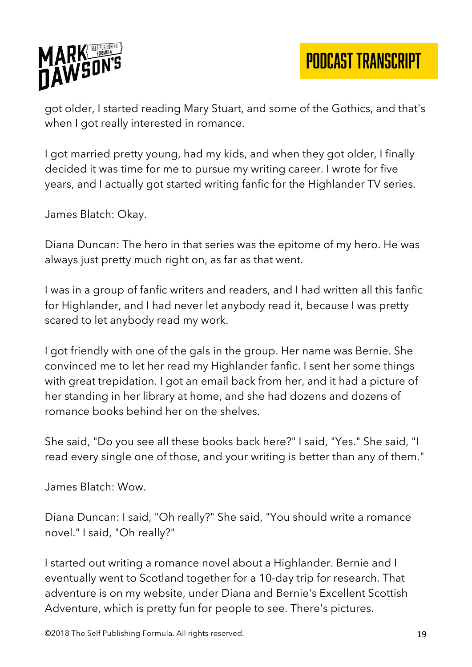

PODCAST TRANSCRIPT

got older, I started reading Mary Stuart, and some of the Gothics, and that's when I got really interested in romance.

I got married pretty young, had my kids, and when they got older, I finally decided it was time for me to pursue my writing career. I wrote for five years, and I actually got started writing fanfic for the Highlander TV series.

James Blatch: Okay.

Diana Duncan: The hero in that series was the epitome of my hero. He was always just pretty much right on, as far as that went.

I was in a group of fanfic writers and readers, and I had written all this fanfic for Highlander, and I had never let anybody read it, because I was pretty scared to let anybody read my work.

I got friendly with one of the gals in the group. Her name was Bernie. She convinced me to let her read my Highlander fanfic. I sent her some things with great trepidation. I got an email back from her, and it had a picture of her standing in her library at home, and she had dozens and dozens of romance books behind her on the shelves.

She said, "Do you see all these books back here?" I said, "Yes." She said, "I read every single one of those, and your writing is better than any of them."

James Blatch: Wow.

Diana Duncan: I said, "Oh really?" She said, "You should write a romance novel." I said, "Oh really?"

I started out writing a romance novel about a Highlander. Bernie and I eventually went to Scotland together for a 10-day trip for research. That adventure is on my website, under Diana and Bernie's Excellent Scottish Adventure, which is pretty fun for people to see. There's pictures.

©2018 The Self Publishing Formula. All rights reserved. 19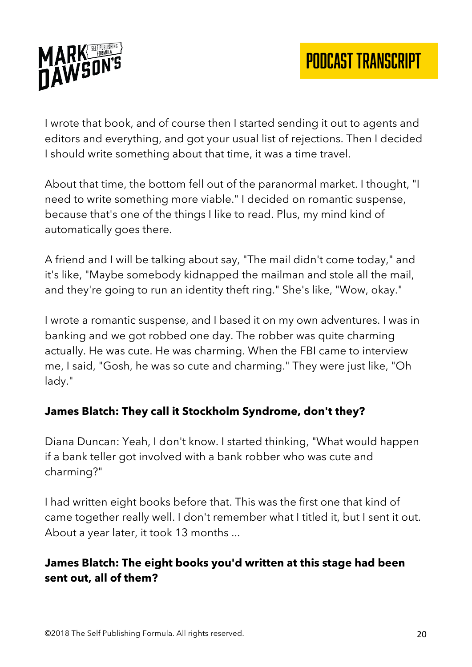

I wrote that book, and of course then I started sending it out to agents and editors and everything, and got your usual list of rejections. Then I decided I should write something about that time, it was a time travel.

About that time, the bottom fell out of the paranormal market. I thought, "I need to write something more viable." I decided on romantic suspense, because that's one of the things I like to read. Plus, my mind kind of automatically goes there.

A friend and I will be talking about say, "The mail didn't come today," and it's like, "Maybe somebody kidnapped the mailman and stole all the mail, and they're going to run an identity theft ring." She's like, "Wow, okay."

I wrote a romantic suspense, and I based it on my own adventures. I was in banking and we got robbed one day. The robber was quite charming actually. He was cute. He was charming. When the FBI came to interview me, I said, "Gosh, he was so cute and charming." They were just like, "Oh lady."

# **James Blatch: They call it Stockholm Syndrome, don't they?**

Diana Duncan: Yeah, I don't know. I started thinking, "What would happen if a bank teller got involved with a bank robber who was cute and charming?"

I had written eight books before that. This was the first one that kind of came together really well. I don't remember what I titled it, but I sent it out. About a year later, it took 13 months ...

## **James Blatch: The eight books you'd written at this stage had been sent out, all of them?**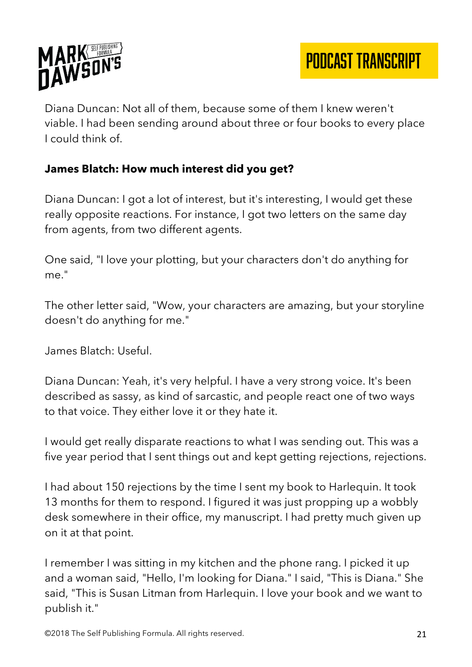

Diana Duncan: Not all of them, because some of them I knew weren't viable. I had been sending around about three or four books to every place I could think of.

## **James Blatch: How much interest did you get?**

Diana Duncan: I got a lot of interest, but it's interesting, I would get these really opposite reactions. For instance, I got two letters on the same day from agents, from two different agents.

One said, "I love your plotting, but your characters don't do anything for me."

The other letter said, "Wow, your characters are amazing, but your storyline doesn't do anything for me."

James Blatch: Useful.

Diana Duncan: Yeah, it's very helpful. I have a very strong voice. It's been described as sassy, as kind of sarcastic, and people react one of two ways to that voice. They either love it or they hate it.

I would get really disparate reactions to what I was sending out. This was a five year period that I sent things out and kept getting rejections, rejections.

I had about 150 rejections by the time I sent my book to Harlequin. It took 13 months for them to respond. I figured it was just propping up a wobbly desk somewhere in their office, my manuscript. I had pretty much given up on it at that point.

I remember I was sitting in my kitchen and the phone rang. I picked it up and a woman said, "Hello, I'm looking for Diana." I said, "This is Diana." She said, "This is Susan Litman from Harlequin. I love your book and we want to publish it."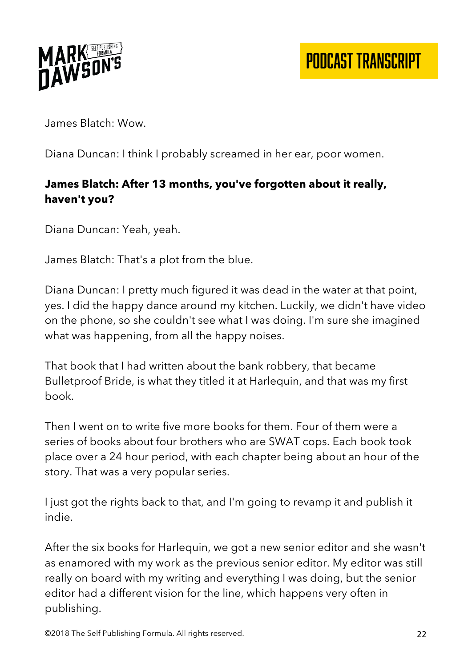

James Blatch: Wow.

Diana Duncan: I think I probably screamed in her ear, poor women.

# **James Blatch: After 13 months, you've forgotten about it really, haven't you?**

Diana Duncan: Yeah, yeah.

James Blatch: That's a plot from the blue.

Diana Duncan: I pretty much figured it was dead in the water at that point, yes. I did the happy dance around my kitchen. Luckily, we didn't have video on the phone, so she couldn't see what I was doing. I'm sure she imagined what was happening, from all the happy noises.

That book that I had written about the bank robbery, that became Bulletproof Bride, is what they titled it at Harlequin, and that was my first book.

Then I went on to write five more books for them. Four of them were a series of books about four brothers who are SWAT cops. Each book took place over a 24 hour period, with each chapter being about an hour of the story. That was a very popular series.

I just got the rights back to that, and I'm going to revamp it and publish it indie.

After the six books for Harlequin, we got a new senior editor and she wasn't as enamored with my work as the previous senior editor. My editor was still really on board with my writing and everything I was doing, but the senior editor had a different vision for the line, which happens very often in publishing.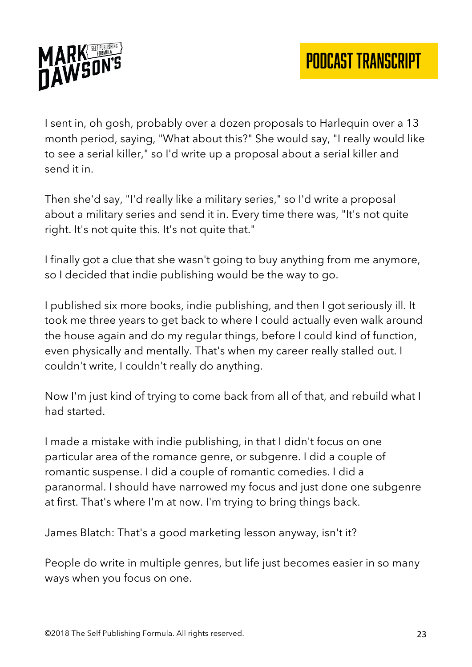

I sent in, oh gosh, probably over a dozen proposals to Harlequin over a 13 month period, saying, "What about this?" She would say, "I really would like to see a serial killer," so I'd write up a proposal about a serial killer and send it in.

Then she'd say, "I'd really like a military series," so I'd write a proposal about a military series and send it in. Every time there was, "It's not quite right. It's not quite this. It's not quite that."

I finally got a clue that she wasn't going to buy anything from me anymore, so I decided that indie publishing would be the way to go.

I published six more books, indie publishing, and then I got seriously ill. It took me three years to get back to where I could actually even walk around the house again and do my regular things, before I could kind of function, even physically and mentally. That's when my career really stalled out. I couldn't write, I couldn't really do anything.

Now I'm just kind of trying to come back from all of that, and rebuild what I had started.

I made a mistake with indie publishing, in that I didn't focus on one particular area of the romance genre, or subgenre. I did a couple of romantic suspense. I did a couple of romantic comedies. I did a paranormal. I should have narrowed my focus and just done one subgenre at first. That's where I'm at now. I'm trying to bring things back.

James Blatch: That's a good marketing lesson anyway, isn't it?

People do write in multiple genres, but life just becomes easier in so many ways when you focus on one.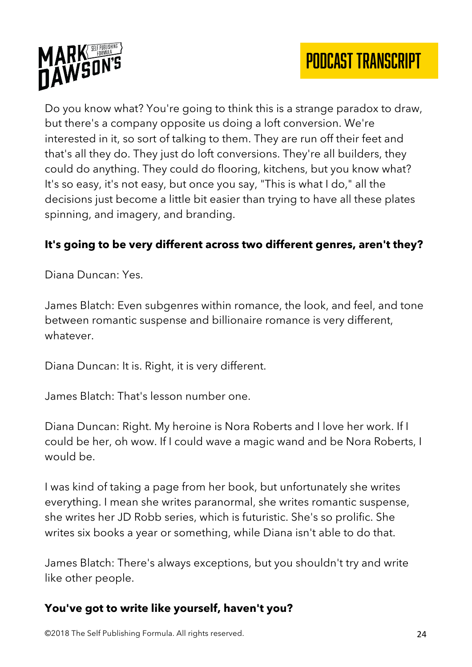

Do you know what? You're going to think this is a strange paradox to draw, but there's a company opposite us doing a loft conversion. We're interested in it, so sort of talking to them. They are run off their feet and that's all they do. They just do loft conversions. They're all builders, they could do anything. They could do flooring, kitchens, but you know what? It's so easy, it's not easy, but once you say, "This is what I do," all the decisions just become a little bit easier than trying to have all these plates spinning, and imagery, and branding.

# **It's going to be very different across two different genres, aren't they?**

Diana Duncan: Yes.

James Blatch: Even subgenres within romance, the look, and feel, and tone between romantic suspense and billionaire romance is very different, whatever.

Diana Duncan: It is. Right, it is very different.

James Blatch: That's lesson number one.

Diana Duncan: Right. My heroine is Nora Roberts and I love her work. If I could be her, oh wow. If I could wave a magic wand and be Nora Roberts, I would be.

I was kind of taking a page from her book, but unfortunately she writes everything. I mean she writes paranormal, she writes romantic suspense, she writes her JD Robb series, which is futuristic. She's so prolific. She writes six books a year or something, while Diana isn't able to do that.

James Blatch: There's always exceptions, but you shouldn't try and write like other people.

#### **You've got to write like yourself, haven't you?**

©2018 The Self Publishing Formula. All rights reserved. 24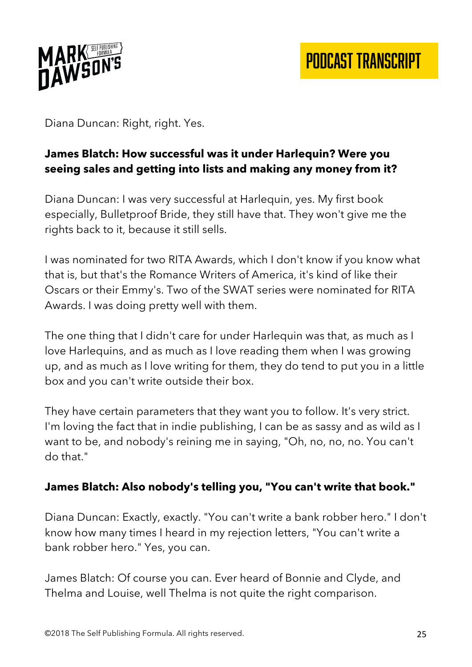

Diana Duncan: Right, right. Yes.

# **James Blatch: How successful was it under Harlequin? Were you seeing sales and getting into lists and making any money from it?**

Diana Duncan: I was very successful at Harlequin, yes. My first book especially, Bulletproof Bride, they still have that. They won't give me the rights back to it, because it still sells.

I was nominated for two RITA Awards, which I don't know if you know what that is, but that's the Romance Writers of America, it's kind of like their Oscars or their Emmy's. Two of the SWAT series were nominated for RITA Awards. I was doing pretty well with them.

The one thing that I didn't care for under Harlequin was that, as much as I love Harlequins, and as much as I love reading them when I was growing up, and as much as I love writing for them, they do tend to put you in a little box and you can't write outside their box.

They have certain parameters that they want you to follow. It's very strict. I'm loving the fact that in indie publishing, I can be as sassy and as wild as I want to be, and nobody's reining me in saying, "Oh, no, no, no. You can't do that."

#### **James Blatch: Also nobody's telling you, "You can't write that book."**

Diana Duncan: Exactly, exactly. "You can't write a bank robber hero." I don't know how many times I heard in my rejection letters, "You can't write a bank robber hero." Yes, you can.

James Blatch: Of course you can. Ever heard of Bonnie and Clyde, and Thelma and Louise, well Thelma is not quite the right comparison.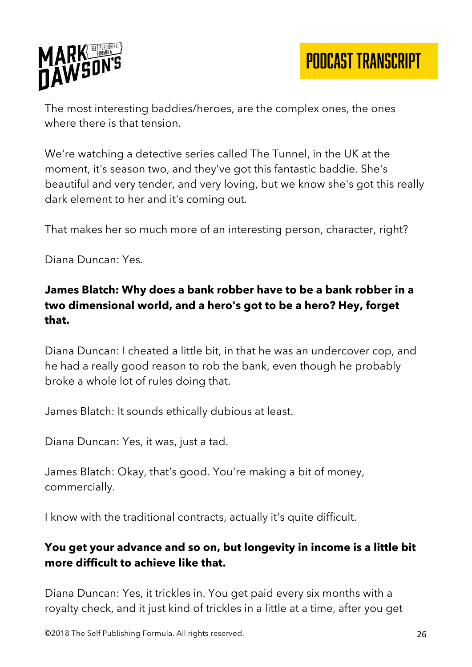

The most interesting baddies/heroes, are the complex ones, the ones where there is that tension.

We're watching a detective series called The Tunnel, in the UK at the moment, it's season two, and they've got this fantastic baddie. She's beautiful and very tender, and very loving, but we know she's got this really dark element to her and it's coming out.

That makes her so much more of an interesting person, character, right?

Diana Duncan: Yes.

# **James Blatch: Why does a bank robber have to be a bank robber in a two dimensional world, and a hero's got to be a hero? Hey, forget that.**

Diana Duncan: I cheated a little bit, in that he was an undercover cop, and he had a really good reason to rob the bank, even though he probably broke a whole lot of rules doing that.

James Blatch: It sounds ethically dubious at least.

Diana Duncan: Yes, it was, just a tad.

James Blatch: Okay, that's good. You're making a bit of money, commercially.

I know with the traditional contracts, actually it's quite difficult.

## **You get your advance and so on, but longevity in income is a little bit more difficult to achieve like that.**

Diana Duncan: Yes, it trickles in. You get paid every six months with a royalty check, and it just kind of trickles in a little at a time, after you get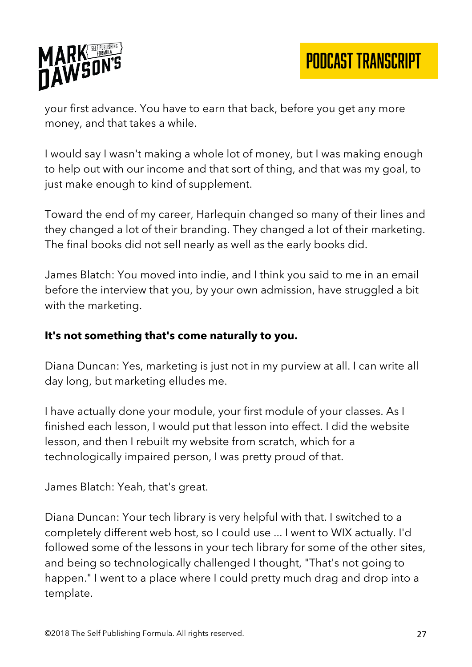

your first advance. You have to earn that back, before you get any more money, and that takes a while.

I would say I wasn't making a whole lot of money, but I was making enough to help out with our income and that sort of thing, and that was my goal, to just make enough to kind of supplement.

Toward the end of my career, Harlequin changed so many of their lines and they changed a lot of their branding. They changed a lot of their marketing. The final books did not sell nearly as well as the early books did.

James Blatch: You moved into indie, and I think you said to me in an email before the interview that you, by your own admission, have struggled a bit with the marketing.

#### **It's not something that's come naturally to you.**

Diana Duncan: Yes, marketing is just not in my purview at all. I can write all day long, but marketing elludes me.

I have actually done your module, your first module of your classes. As I finished each lesson, I would put that lesson into effect. I did the website lesson, and then I rebuilt my website from scratch, which for a technologically impaired person, I was pretty proud of that.

James Blatch: Yeah, that's great.

Diana Duncan: Your tech library is very helpful with that. I switched to a completely different web host, so I could use ... I went to WIX actually. I'd followed some of the lessons in your tech library for some of the other sites, and being so technologically challenged I thought, "That's not going to happen." I went to a place where I could pretty much drag and drop into a template.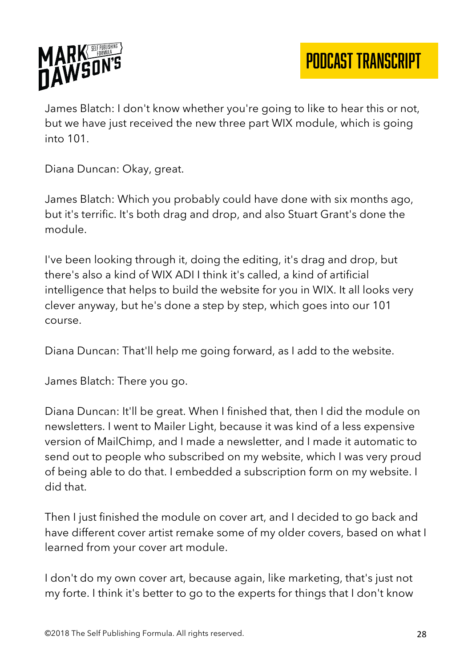

James Blatch: I don't know whether you're going to like to hear this or not, but we have just received the new three part WIX module, which is going into 101.

Diana Duncan: Okay, great.

James Blatch: Which you probably could have done with six months ago, but it's terrific. It's both drag and drop, and also Stuart Grant's done the module.

I've been looking through it, doing the editing, it's drag and drop, but there's also a kind of WIX ADI I think it's called, a kind of artificial intelligence that helps to build the website for you in WIX. It all looks very clever anyway, but he's done a step by step, which goes into our 101 course.

Diana Duncan: That'll help me going forward, as I add to the website.

James Blatch: There you go.

Diana Duncan: It'll be great. When I finished that, then I did the module on newsletters. I went to Mailer Light, because it was kind of a less expensive version of MailChimp, and I made a newsletter, and I made it automatic to send out to people who subscribed on my website, which I was very proud of being able to do that. I embedded a subscription form on my website. I did that.

Then I just finished the module on cover art, and I decided to go back and have different cover artist remake some of my older covers, based on what I learned from your cover art module.

I don't do my own cover art, because again, like marketing, that's just not my forte. I think it's better to go to the experts for things that I don't know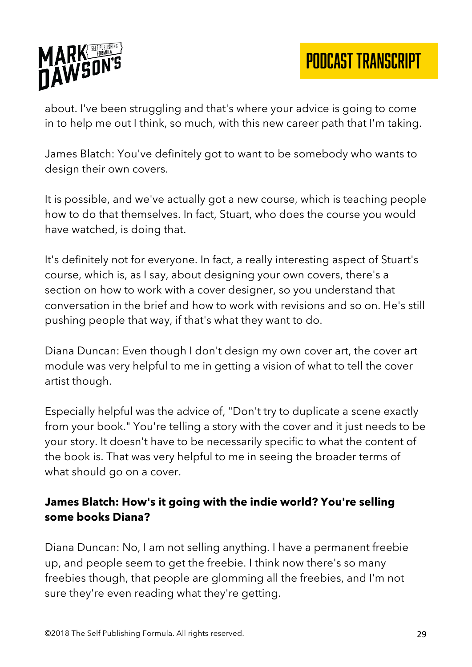

PODCAST TRANSCRIPT

about. I've been struggling and that's where your advice is going to come in to help me out I think, so much, with this new career path that I'm taking.

James Blatch: You've definitely got to want to be somebody who wants to design their own covers.

It is possible, and we've actually got a new course, which is teaching people how to do that themselves. In fact, Stuart, who does the course you would have watched, is doing that.

It's definitely not for everyone. In fact, a really interesting aspect of Stuart's course, which is, as I say, about designing your own covers, there's a section on how to work with a cover designer, so you understand that conversation in the brief and how to work with revisions and so on. He's still pushing people that way, if that's what they want to do.

Diana Duncan: Even though I don't design my own cover art, the cover art module was very helpful to me in getting a vision of what to tell the cover artist though.

Especially helpful was the advice of, "Don't try to duplicate a scene exactly from your book." You're telling a story with the cover and it just needs to be your story. It doesn't have to be necessarily specific to what the content of the book is. That was very helpful to me in seeing the broader terms of what should go on a cover.

## **James Blatch: How's it going with the indie world? You're selling some books Diana?**

Diana Duncan: No, I am not selling anything. I have a permanent freebie up, and people seem to get the freebie. I think now there's so many freebies though, that people are glomming all the freebies, and I'm not sure they're even reading what they're getting.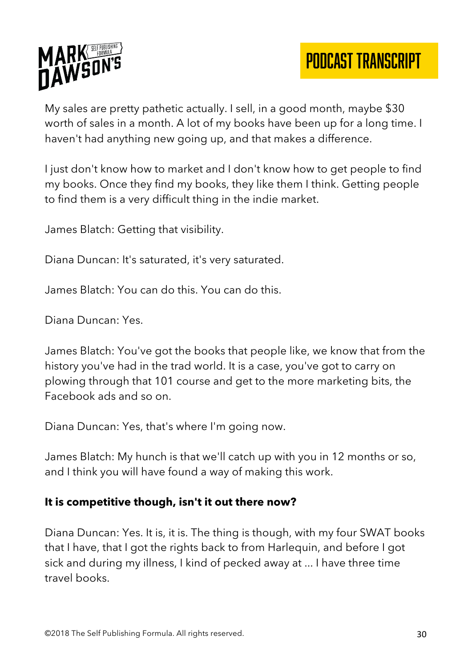

My sales are pretty pathetic actually. I sell, in a good month, maybe \$30 worth of sales in a month. A lot of my books have been up for a long time. I haven't had anything new going up, and that makes a difference.

I just don't know how to market and I don't know how to get people to find my books. Once they find my books, they like them I think. Getting people to find them is a very difficult thing in the indie market.

James Blatch: Getting that visibility.

Diana Duncan: It's saturated, it's very saturated.

James Blatch: You can do this. You can do this.

Diana Duncan: Yes.

James Blatch: You've got the books that people like, we know that from the history you've had in the trad world. It is a case, you've got to carry on plowing through that 101 course and get to the more marketing bits, the Facebook ads and so on.

Diana Duncan: Yes, that's where I'm going now.

James Blatch: My hunch is that we'll catch up with you in 12 months or so, and I think you will have found a way of making this work.

#### **It is competitive though, isn't it out there now?**

Diana Duncan: Yes. It is, it is. The thing is though, with my four SWAT books that I have, that I got the rights back to from Harlequin, and before I got sick and during my illness, I kind of pecked away at ... I have three time travel books.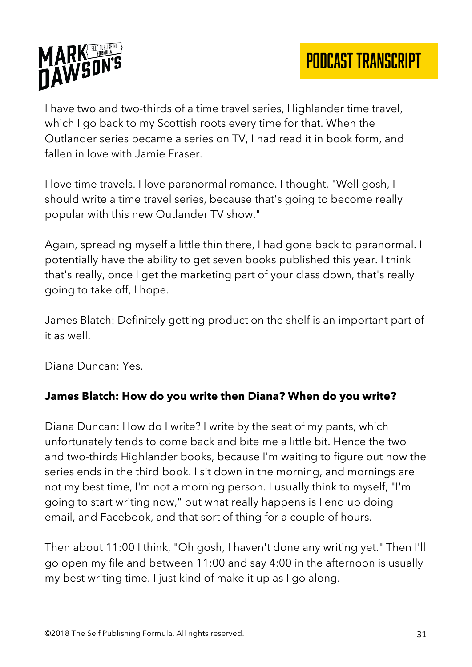

I have two and two-thirds of a time travel series, Highlander time travel, which I go back to my Scottish roots every time for that. When the Outlander series became a series on TV, I had read it in book form, and fallen in love with Jamie Fraser.

I love time travels. I love paranormal romance. I thought, "Well gosh, I should write a time travel series, because that's going to become really popular with this new Outlander TV show."

Again, spreading myself a little thin there, I had gone back to paranormal. I potentially have the ability to get seven books published this year. I think that's really, once I get the marketing part of your class down, that's really going to take off, I hope.

James Blatch: Definitely getting product on the shelf is an important part of it as well.

Diana Duncan: Yes.

# **James Blatch: How do you write then Diana? When do you write?**

Diana Duncan: How do I write? I write by the seat of my pants, which unfortunately tends to come back and bite me a little bit. Hence the two and two-thirds Highlander books, because I'm waiting to figure out how the series ends in the third book. I sit down in the morning, and mornings are not my best time, I'm not a morning person. I usually think to myself, "I'm going to start writing now," but what really happens is I end up doing email, and Facebook, and that sort of thing for a couple of hours.

Then about 11:00 I think, "Oh gosh, I haven't done any writing yet." Then I'll go open my file and between 11:00 and say 4:00 in the afternoon is usually my best writing time. I just kind of make it up as I go along.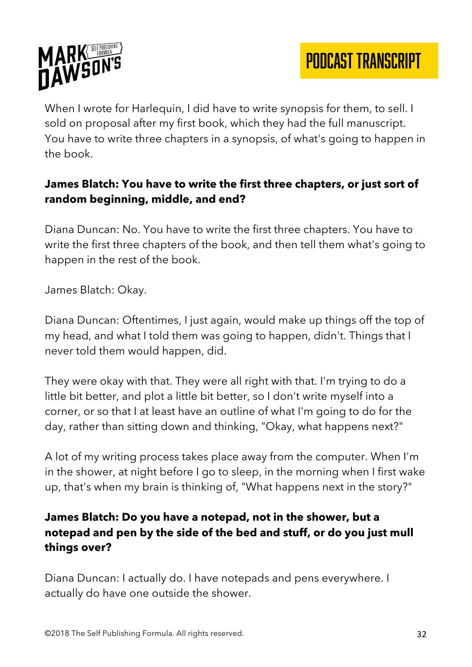

When I wrote for Harlequin, I did have to write synopsis for them, to sell. I sold on proposal after my first book, which they had the full manuscript. You have to write three chapters in a synopsis, of what's going to happen in the book.

# **James Blatch: You have to write the first three chapters, or just sort of random beginning, middle, and end?**

Diana Duncan: No. You have to write the first three chapters. You have to write the first three chapters of the book, and then tell them what's going to happen in the rest of the book.

James Blatch: Okay.

Diana Duncan: Oftentimes, I just again, would make up things off the top of my head, and what I told them was going to happen, didn't. Things that I never told them would happen, did.

They were okay with that. They were all right with that. I'm trying to do a little bit better, and plot a little bit better, so I don't write myself into a corner, or so that I at least have an outline of what I'm going to do for the day, rather than sitting down and thinking, "Okay, what happens next?"

A lot of my writing process takes place away from the computer. When I'm in the shower, at night before I go to sleep, in the morning when I first wake up, that's when my brain is thinking of, "What happens next in the story?"

# **James Blatch: Do you have a notepad, not in the shower, but a notepad and pen by the side of the bed and stuff, or do you just mull things over?**

Diana Duncan: I actually do. I have notepads and pens everywhere. I actually do have one outside the shower.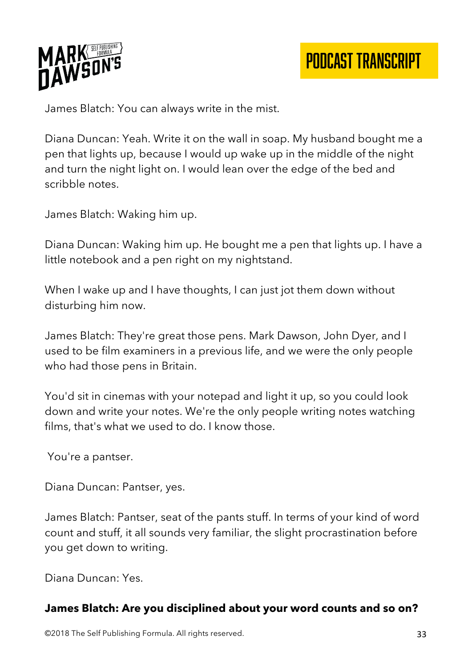

James Blatch: You can always write in the mist.

Diana Duncan: Yeah. Write it on the wall in soap. My husband bought me a pen that lights up, because I would up wake up in the middle of the night and turn the night light on. I would lean over the edge of the bed and scribble notes.

James Blatch: Waking him up.

Diana Duncan: Waking him up. He bought me a pen that lights up. I have a little notebook and a pen right on my nightstand.

When I wake up and I have thoughts, I can just jot them down without disturbing him now.

James Blatch: They're great those pens. Mark Dawson, John Dyer, and I used to be film examiners in a previous life, and we were the only people who had those pens in Britain.

You'd sit in cinemas with your notepad and light it up, so you could look down and write your notes. We're the only people writing notes watching films, that's what we used to do. I know those.

You're a pantser.

Diana Duncan: Pantser, yes.

James Blatch: Pantser, seat of the pants stuff. In terms of your kind of word count and stuff, it all sounds very familiar, the slight procrastination before you get down to writing.

Diana Duncan: Yes.

#### **James Blatch: Are you disciplined about your word counts and so on?**

©2018 The Self Publishing Formula. All rights reserved. 33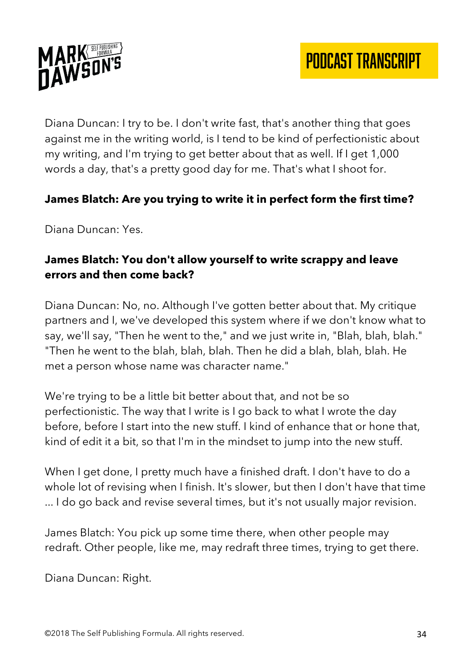

Diana Duncan: I try to be. I don't write fast, that's another thing that goes against me in the writing world, is I tend to be kind of perfectionistic about my writing, and I'm trying to get better about that as well. If I get 1,000 words a day, that's a pretty good day for me. That's what I shoot for.

#### **James Blatch: Are you trying to write it in perfect form the first time?**

Diana Duncan: Yes.

## **James Blatch: You don't allow yourself to write scrappy and leave errors and then come back?**

Diana Duncan: No, no. Although I've gotten better about that. My critique partners and I, we've developed this system where if we don't know what to say, we'll say, "Then he went to the," and we just write in, "Blah, blah, blah." "Then he went to the blah, blah, blah. Then he did a blah, blah, blah. He met a person whose name was character name."

We're trying to be a little bit better about that, and not be so perfectionistic. The way that I write is I go back to what I wrote the day before, before I start into the new stuff. I kind of enhance that or hone that, kind of edit it a bit, so that I'm in the mindset to jump into the new stuff.

When I get done, I pretty much have a finished draft. I don't have to do a whole lot of revising when I finish. It's slower, but then I don't have that time ... I do go back and revise several times, but it's not usually major revision.

James Blatch: You pick up some time there, when other people may redraft. Other people, like me, may redraft three times, trying to get there.

Diana Duncan: Right.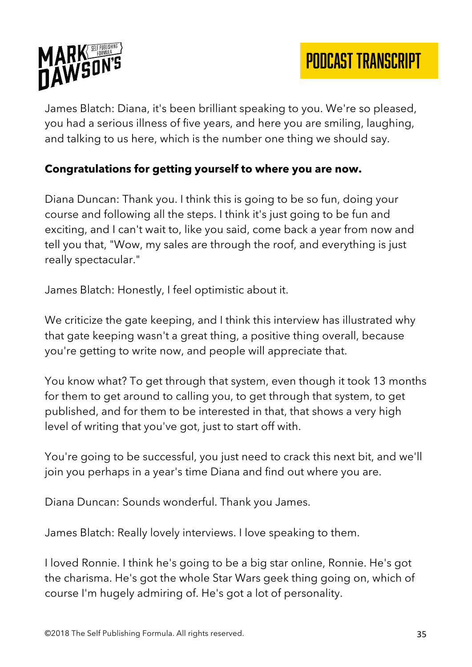

James Blatch: Diana, it's been brilliant speaking to you. We're so pleased, you had a serious illness of five years, and here you are smiling, laughing, and talking to us here, which is the number one thing we should say.

## **Congratulations for getting yourself to where you are now.**

Diana Duncan: Thank you. I think this is going to be so fun, doing your course and following all the steps. I think it's just going to be fun and exciting, and I can't wait to, like you said, come back a year from now and tell you that, "Wow, my sales are through the roof, and everything is just really spectacular."

James Blatch: Honestly, I feel optimistic about it.

We criticize the gate keeping, and I think this interview has illustrated why that gate keeping wasn't a great thing, a positive thing overall, because you're getting to write now, and people will appreciate that.

You know what? To get through that system, even though it took 13 months for them to get around to calling you, to get through that system, to get published, and for them to be interested in that, that shows a very high level of writing that you've got, just to start off with.

You're going to be successful, you just need to crack this next bit, and we'll join you perhaps in a year's time Diana and find out where you are.

Diana Duncan: Sounds wonderful. Thank you James.

James Blatch: Really lovely interviews. I love speaking to them.

I loved Ronnie. I think he's going to be a big star online, Ronnie. He's got the charisma. He's got the whole Star Wars geek thing going on, which of course I'm hugely admiring of. He's got a lot of personality.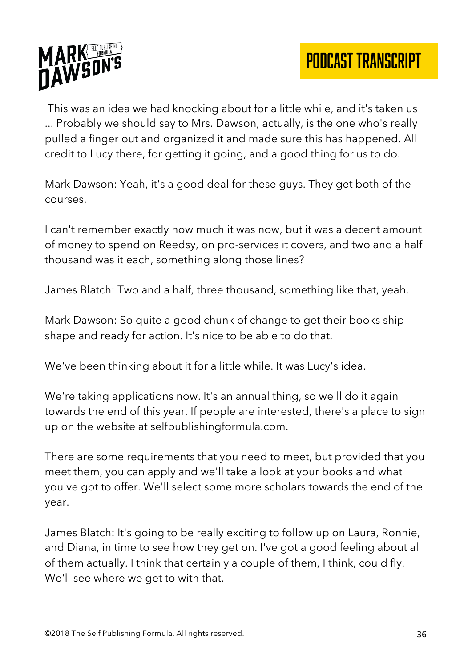

This was an idea we had knocking about for a little while, and it's taken us ... Probably we should say to Mrs. Dawson, actually, is the one who's really pulled a finger out and organized it and made sure this has happened. All credit to Lucy there, for getting it going, and a good thing for us to do.

Mark Dawson: Yeah, it's a good deal for these guys. They get both of the courses.

I can't remember exactly how much it was now, but it was a decent amount of money to spend on Reedsy, on pro-services it covers, and two and a half thousand was it each, something along those lines?

James Blatch: Two and a half, three thousand, something like that, yeah.

Mark Dawson: So quite a good chunk of change to get their books ship shape and ready for action. It's nice to be able to do that.

We've been thinking about it for a little while. It was Lucy's idea.

We're taking applications now. It's an annual thing, so we'll do it again towards the end of this year. If people are interested, there's a place to sign up on the website at selfpublishingformula.com.

There are some requirements that you need to meet, but provided that you meet them, you can apply and we'll take a look at your books and what you've got to offer. We'll select some more scholars towards the end of the year.

James Blatch: It's going to be really exciting to follow up on Laura, Ronnie, and Diana, in time to see how they get on. I've got a good feeling about all of them actually. I think that certainly a couple of them, I think, could fly. We'll see where we get to with that.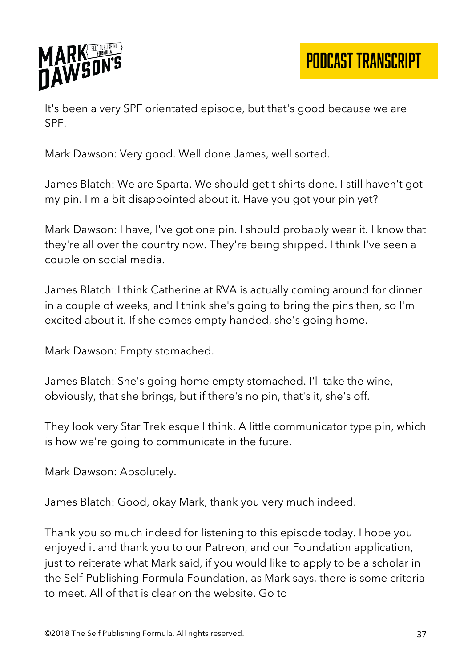

PODCAST TRANSCRIPT

It's been a very SPF orientated episode, but that's good because we are SPF.

Mark Dawson: Very good. Well done James, well sorted.

James Blatch: We are Sparta. We should get t-shirts done. I still haven't got my pin. I'm a bit disappointed about it. Have you got your pin yet?

Mark Dawson: I have, I've got one pin. I should probably wear it. I know that they're all over the country now. They're being shipped. I think I've seen a couple on social media.

James Blatch: I think Catherine at RVA is actually coming around for dinner in a couple of weeks, and I think she's going to bring the pins then, so I'm excited about it. If she comes empty handed, she's going home.

Mark Dawson: Empty stomached.

James Blatch: She's going home empty stomached. I'll take the wine, obviously, that she brings, but if there's no pin, that's it, she's off.

They look very Star Trek esque I think. A little communicator type pin, which is how we're going to communicate in the future.

Mark Dawson: Absolutely.

James Blatch: Good, okay Mark, thank you very much indeed.

Thank you so much indeed for listening to this episode today. I hope you enjoyed it and thank you to our Patreon, and our Foundation application, just to reiterate what Mark said, if you would like to apply to be a scholar in the Self-Publishing Formula Foundation, as Mark says, there is some criteria to meet. All of that is clear on the website. Go to